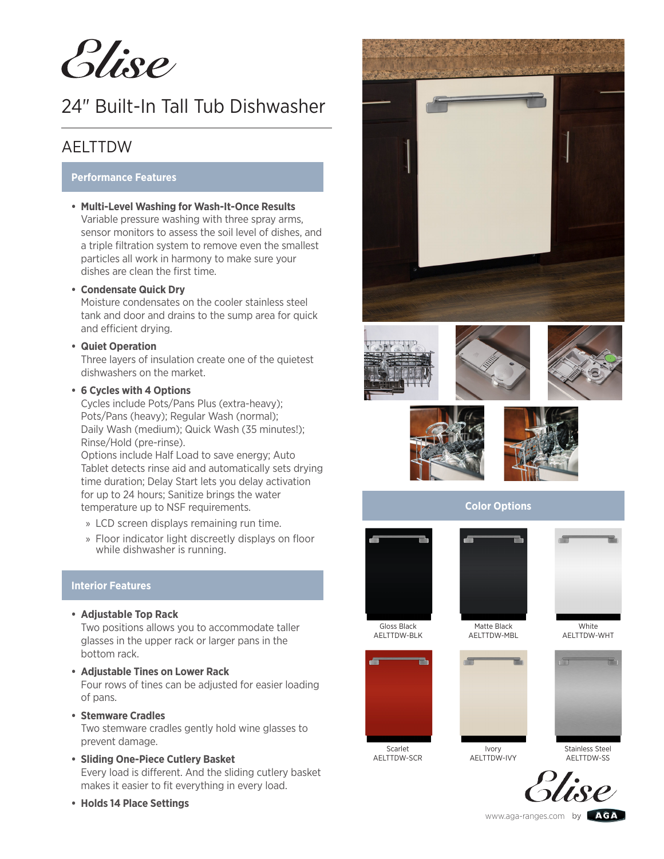*Plise* 

# 24" Built-In Tall Tub Dishwasher

### AELTTDW

#### **Performance Features**

**• Multi-Level Washing for Wash-It-Once Results** Variable pressure washing with three spray arms, sensor monitors to assess the soil level of dishes, and a triple filtration system to remove even the smallest particles all work in harmony to make sure your dishes are clean the first time.

#### **• Condensate Quick Dry**

Moisture condensates on the cooler stainless steel tank and door and drains to the sump area for quick and efficient drying.

#### **• Quiet Operation**

Three layers of insulation create one of the quietest dishwashers on the market.

#### **• 6 Cycles with 4 Options**

Cycles include Pots/Pans Plus (extra-heavy); Pots/Pans (heavy); Regular Wash (normal); Daily Wash (medium); Quick Wash (35 minutes!); Rinse/Hold (pre-rinse).

Options include Half Load to save energy; Auto Tablet detects rinse aid and automatically sets drying time duration; Delay Start lets you delay activation for up to 24 hours; Sanitize brings the water temperature up to NSF requirements.

- » LCD screen displays remaining run time.
- » Floor indicator light discreetly displays on floor while dishwasher is running.

#### **Interior Features**

- **• Adjustable Top Rack** Two positions allows you to accommodate taller glasses in the upper rack or larger pans in the bottom rack.
- **• Adjustable Tines on Lower Rack** Four rows of tines can be adjusted for easier loading of pans.
- **• Stemware Cradles** Two stemware cradles gently hold wine glasses to prevent damage.
- **• Sliding One-Piece Cutlery Basket** Every load is different. And the sliding cutlery basket makes it easier to fit everything in every load.
- **• Holds 14 Place Settings**

















**Color Options**



AELTTDW-WHT





Ivory



AELTTDW-SCR

AELTTDW-IVY

Stainless Steel **AFITTDW-SS** 



www.aga-ranges.com by **AGA**